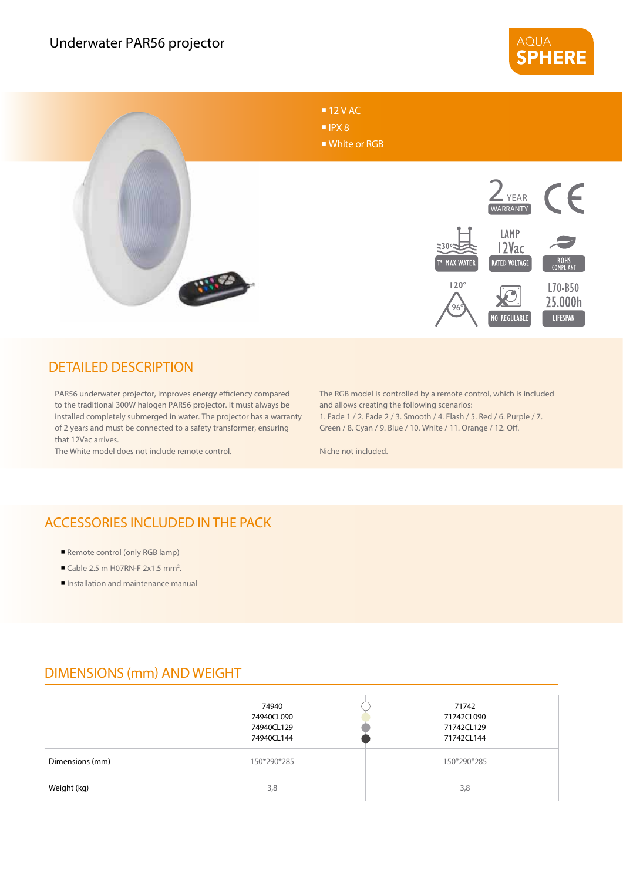



## DETAILED DESCRIPTION

PAR56 underwater projector, improves energy efficiency compared to the traditional 300W halogen PAR56 projector. It must always be installed completely submerged in water. The projector has a warranty of 2 years and must be connected to a safety transformer, ensuring that 12Vac arrives.

The White model does not include remote control.

The RGB model is controlled by a remote control, which is included and allows creating the following scenarios: 1. Fade 1 / 2. Fade 2 / 3. Smooth / 4. Flash / 5. Red / 6. Purple / 7.

Green / 8. Cyan / 9. Blue / 10. White / 11. Orange / 12. Off.

Niche not included.

## ACCESSORIES INCLUDED IN THE PACK

- Remote control (only RGB lamp)
- Cable 2.5 m H07RN-F  $2x1.5$  mm<sup>2</sup>.
- **Installation and maintenance manual**

## DIMENSIONS (mm) AND WEIGHT

|                 | 74940<br>74940CL090<br>74940CL129<br>74940CL144 | 71742<br>71742CL090<br>71742CL129<br>71742CL144 |
|-----------------|-------------------------------------------------|-------------------------------------------------|
| Dimensions (mm) | 150*290*285                                     | 150*290*285                                     |
| Weight (kg)     | 3,8                                             | 3,8                                             |